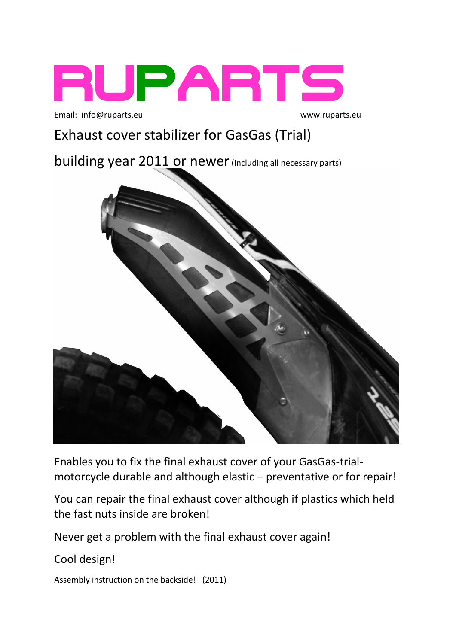

Email: [info@ruparts.eu](mailto:info@ruparts.eu)

www.ruparts.eu

# Exhaust cover stabilizer for GasGas (Trial)

building year 2011 or newer (including all necessary parts)



Enables you to fix the final exhaust cover of your GasGas-trialmotorcycle durable and although elastic – preventative or for repair!

You can repair the final exhaust cover although if plastics which held the fast nuts inside are broken!

Never get a problem with the final exhaust cover again!

Cool design!

Assembly instruction on the backside! (2011)